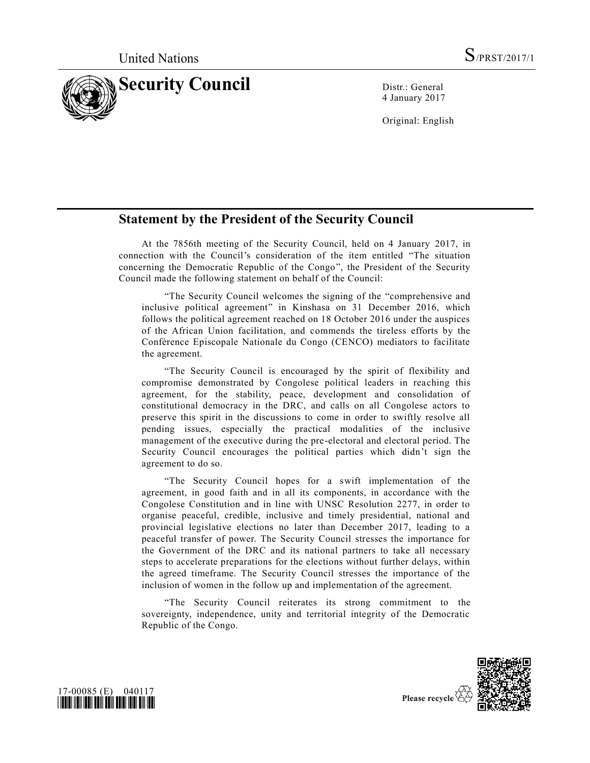

4 January 2017

Original: English

## **Statement by the President of the Security Council**

At the 7856th meeting of the Security Council, held on 4 January 2017, in connection with the Council's consideration of the item entitled "The situation concerning the Democratic Republic of the Congo", the President of the Security Council made the following statement on behalf of the Council:

"The Security Council welcomes the signing of the "comprehensive and inclusive political agreement" in Kinshasa on 31 December 2016, which follows the political agreement reached on 18 October 2016 under the auspices of the African Union facilitation, and commends the tireless efforts by the Conférence Episcopale Nationale du Congo (CENCO) mediators to facilitate the agreement.

"The Security Council is encouraged by the spirit of flexibility and compromise demonstrated by Congolese political leaders in reaching this agreement, for the stability, peace, development and consolidation of constitutional democracy in the DRC, and calls on all Congolese actors to preserve this spirit in the discussions to come in order to swiftly resolve all pending issues, especially the practical modalities of the inclusive management of the executive during the pre-electoral and electoral period. The Security Council encourages the political parties which didn't sign the agreement to do so.

"The Security Council hopes for a swift implementation of the agreement, in good faith and in all its components, in accordance with the Congolese Constitution and in line with UNSC Resolution 2277, in order to organise peaceful, credible, inclusive and timely presidential, national and provincial legislative elections no later than December 2017, leading to a peaceful transfer of power. The Security Council stresses the importance for the Government of the DRC and its national partners to take all necessary steps to accelerate preparations for the elections without further delays, within the agreed timeframe. The Security Council stresses the importance of the inclusion of women in the follow up and implementation of the agreement.

"The Security Council reiterates its strong commitment to the sovereignty, independence, unity and territorial integrity of the Democratic Republic of the Congo.